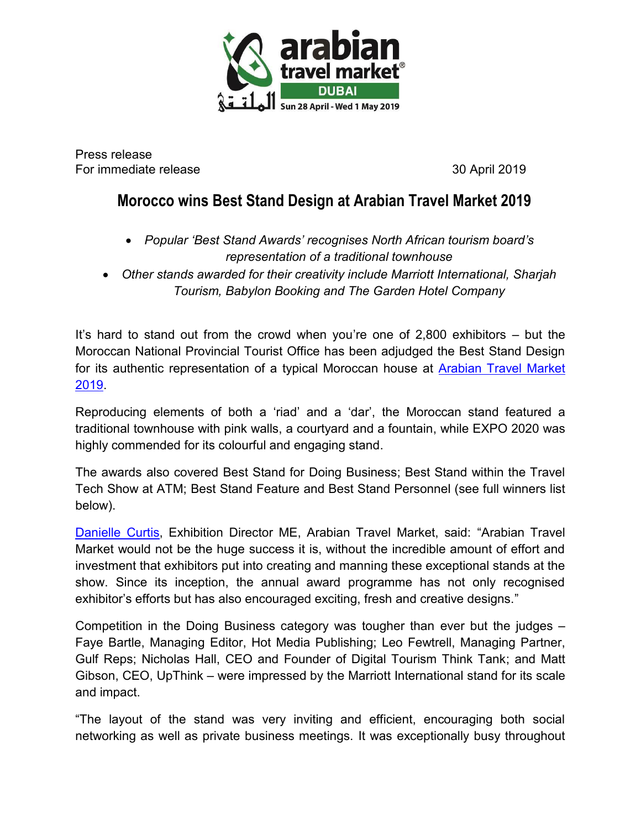

Press release For immediate release 30 April 2019

# **Morocco wins Best Stand Design at Arabian Travel Market 2019**

- *Popular 'Best Stand Awards' recognises North African tourism board's representation of a traditional townhouse*
- *Other stands awarded for their creativity include Marriott International, Sharjah Tourism, Babylon Booking and The Garden Hotel Company*

It's hard to stand out from the crowd when you're one of 2,800 exhibitors – but the Moroccan National Provincial Tourist Office has been adjudged the Best Stand Design for its authentic representation of a typical Moroccan house at [Arabian Travel Market](https://arabiantravelmarket.wtm.com/)  [2019.](https://arabiantravelmarket.wtm.com/)

Reproducing elements of both a 'riad' and a 'dar', the Moroccan stand featured a traditional townhouse with pink walls, a courtyard and a fountain, while EXPO 2020 was highly commended for its colourful and engaging stand.

The awards also covered Best Stand for Doing Business; Best Stand within the Travel Tech Show at ATM; Best Stand Feature and Best Stand Personnel (see full winners list below).

[Danielle Curtis,](https://ae.linkedin.com/in/danielle-curtis-b75b3929) Exhibition Director ME, Arabian Travel Market, said: "Arabian Travel Market would not be the huge success it is, without the incredible amount of effort and investment that exhibitors put into creating and manning these exceptional stands at the show. Since its inception, the annual award programme has not only recognised exhibitor's efforts but has also encouraged exciting, fresh and creative designs."

Competition in the Doing Business category was tougher than ever but the judges – Faye Bartle, Managing Editor, Hot Media Publishing; Leo Fewtrell, Managing Partner, Gulf Reps; Nicholas Hall, CEO and Founder of Digital Tourism Think Tank; and Matt Gibson, CEO, UpThink – were impressed by the Marriott International stand for its scale and impact.

"The layout of the stand was very inviting and efficient, encouraging both social networking as well as private business meetings. It was exceptionally busy throughout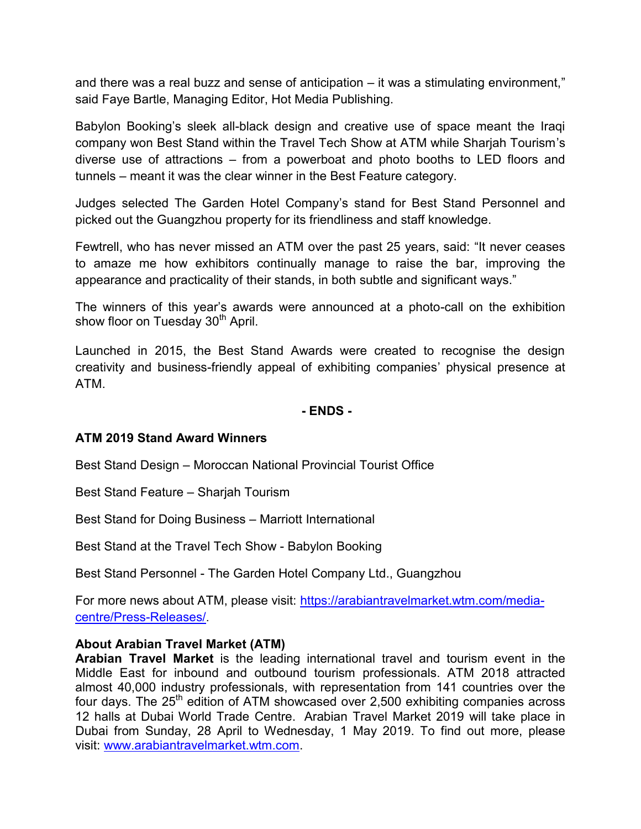and there was a real buzz and sense of anticipation – it was a stimulating environment," said Faye Bartle, Managing Editor, Hot Media Publishing.

Babylon Booking's sleek all-black design and creative use of space meant the Iraqi company won Best Stand within the Travel Tech Show at ATM while Sharjah Tourism's diverse use of attractions – from a powerboat and photo booths to LED floors and tunnels – meant it was the clear winner in the Best Feature category.

Judges selected The Garden Hotel Company's stand for Best Stand Personnel and picked out the Guangzhou property for its friendliness and staff knowledge.

Fewtrell, who has never missed an ATM over the past 25 years, said: "It never ceases to amaze me how exhibitors continually manage to raise the bar, improving the appearance and practicality of their stands, in both subtle and significant ways."

The winners of this year's awards were announced at a photo-call on the exhibition show floor on Tuesday 30<sup>th</sup> April.

Launched in 2015, the Best Stand Awards were created to recognise the design creativity and business-friendly appeal of exhibiting companies' physical presence at ATM.

**- ENDS -** 

# **ATM 2019 Stand Award Winners**

Best Stand Design – Moroccan National Provincial Tourist Office

Best Stand Feature – Sharjah Tourism

Best Stand for Doing Business – Marriott International

Best Stand at the Travel Tech Show - Babylon Booking

Best Stand Personnel - The Garden Hotel Company Ltd., Guangzhou

For more news about ATM, please visit: [https://arabiantravelmarket.wtm.com/media](https://arabiantravelmarket.wtm.com/media-centre/Press-Releases/)[centre/Press-Releases/](https://arabiantravelmarket.wtm.com/media-centre/Press-Releases/).

# **About Arabian Travel Market (ATM)**

**Arabian Travel Market** is the leading international travel and tourism event in the Middle East for inbound and outbound tourism professionals. ATM 2018 attracted almost 40,000 industry professionals, with representation from 141 countries over the four days. The  $25<sup>th</sup>$  edition of ATM showcased over 2,500 exhibiting companies across 12 halls at Dubai World Trade Centre. Arabian Travel Market 2019 will take place in Dubai from Sunday, 28 April to Wednesday, 1 May 2019. To find out more, please visit: [www.arabiantravelmarket.wtm.com.](http://www.arabiantravelmarket.wtm.com/)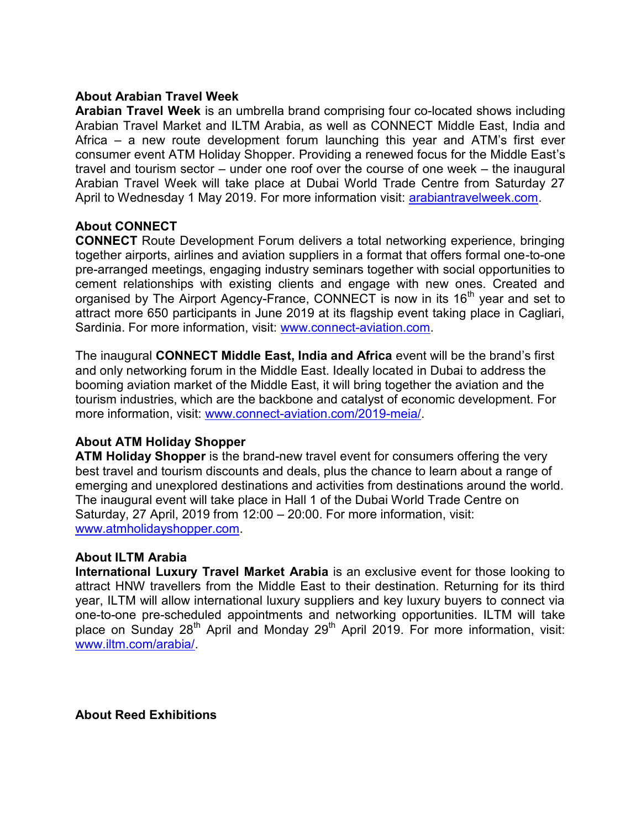## **About Arabian Travel Week**

**Arabian Travel Week** is an umbrella brand comprising four co-located shows including Arabian Travel Market and ILTM Arabia, as well as CONNECT Middle East, India and Africa – a new route development forum launching this year and ATM's first ever consumer event ATM Holiday Shopper. Providing a renewed focus for the Middle East's travel and tourism sector – under one roof over the course of one week – the inaugural Arabian Travel Week will take place at Dubai World Trade Centre from Saturday 27 April to Wednesday 1 May 2019. For more information visit: [arabiantravelweek.com.](http://arabiantravelweek.com/)

## **About CONNECT**

**CONNECT** Route Development Forum delivers a total networking experience, bringing together airports, airlines and aviation suppliers in a format that offers formal one-to-one pre-arranged meetings, engaging industry seminars together with social opportunities to cement relationships with existing clients and engage with new ones. Created and organised by The Airport Agency-France, CONNECT is now in its 16<sup>th</sup> year and set to attract more 650 participants in June 2019 at its flagship event taking place in Cagliari, Sardinia. For more information, visit: [www.connect-aviation.com.](http://www.connect-aviation.com/)

The inaugural **CONNECT Middle East, India and Africa** event will be the brand's first and only networking forum in the Middle East. Ideally located in Dubai to address the booming aviation market of the Middle East, it will bring together the aviation and the tourism industries, which are the backbone and catalyst of economic development. For more information, visit: [www.connect-aviation.com/2019-meia/.](http://www.connect-aviation.com/2019-meia/)

# **About ATM Holiday Shopper**

**ATM Holiday Shopper** is the brand-new travel event for consumers offering the very best travel and tourism discounts and deals, plus the chance to learn about a range of emerging and unexplored destinations and activities from destinations around the world. The inaugural event will take place in Hall 1 of the Dubai World Trade Centre on Saturday, 27 April, 2019 from 12:00 – 20:00. For more information, visit: [www.atmholidayshopper.com.](http://www.atmholidayshopper.com/)

#### **About ILTM Arabia**

**International Luxury Travel Market Arabia** is an exclusive event for those looking to attract HNW travellers from the Middle East to their destination. Returning for its third year, ILTM will allow international luxury suppliers and key luxury buyers to connect via one-to-one pre-scheduled appointments and networking opportunities. ILTM will take place on Sunday  $28<sup>th</sup>$  April and Monday  $29<sup>th</sup>$  April 2019. For more information, visit: [www.iltm.com/arabia/.](http://www.iltm.com/arabia/)

**About Reed Exhibitions**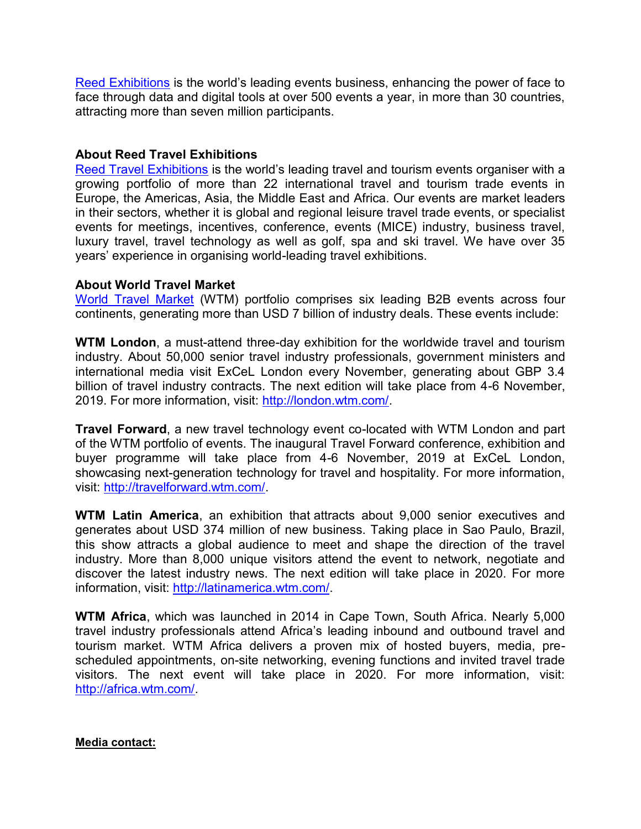[Reed Exhibitions](http://www.reedexpo.com/Home/) is the world's leading events business, enhancing the power of face to face through data and digital tools at over 500 events a year, in more than 30 countries, attracting more than seven million participants.

## **About Reed Travel Exhibitions**

[Reed Travel Exhibitions](http://www.reedtravelexhibitions.com/) is the world's leading travel and tourism events organiser with a growing portfolio of more than 22 international travel and tourism trade events in Europe, the Americas, Asia, the Middle East and Africa. Our events are market leaders in their sectors, whether it is global and regional leisure travel trade events, or specialist events for meetings, incentives, conference, events (MICE) industry, business travel, luxury travel, travel technology as well as golf, spa and ski travel. We have over 35 years' experience in organising world-leading travel exhibitions.

# **About World Travel Market**

[World Travel Market](http://news.wtm.com/en/) (WTM) portfolio comprises six leading B2B events across four continents, generating more than USD 7 billion of industry deals. These events include:

**WTM London**, a must-attend three-day exhibition for the worldwide travel and tourism industry. About 50,000 senior travel industry professionals, government ministers and international media visit ExCeL London every November, generating about GBP 3.4 billion of travel industry contracts. The next edition will take place from 4-6 November, 2019. For more information, visit: [http://london.wtm.com/.](http://london.wtm.com/)

**Travel Forward**, a new travel technology event co-located with WTM London and part of the WTM portfolio of events. The inaugural Travel Forward conference, exhibition and buyer programme will take place from 4-6 November, 2019 at ExCeL London, showcasing next-generation technology for travel and hospitality. For more information, visit: [http://travelforward.wtm.com/.](http://travelforward.wtm.com/)

**WTM Latin America**, an exhibition that attracts about 9,000 senior executives and generates about USD 374 million of new business. Taking place in Sao Paulo, Brazil, this show attracts a global audience to meet and shape the direction of the travel industry. More than 8,000 unique visitors attend the event to network, negotiate and discover the latest industry news. The next edition will take place in 2020. For more information, visit: [http://latinamerica.wtm.com/.](http://latinamerica.wtm.com/)

**WTM Africa**, which was launched in 2014 in Cape Town, South Africa. Nearly 5,000 travel industry professionals attend Africa's leading inbound and outbound travel and tourism market. WTM Africa delivers a proven mix of hosted buyers, media, prescheduled appointments, on-site networking, evening functions and invited travel trade visitors. The next event will take place in 2020. For more information, visit: [http://africa.wtm.com/.](http://africa.wtm.com/)

#### **Media contact:**